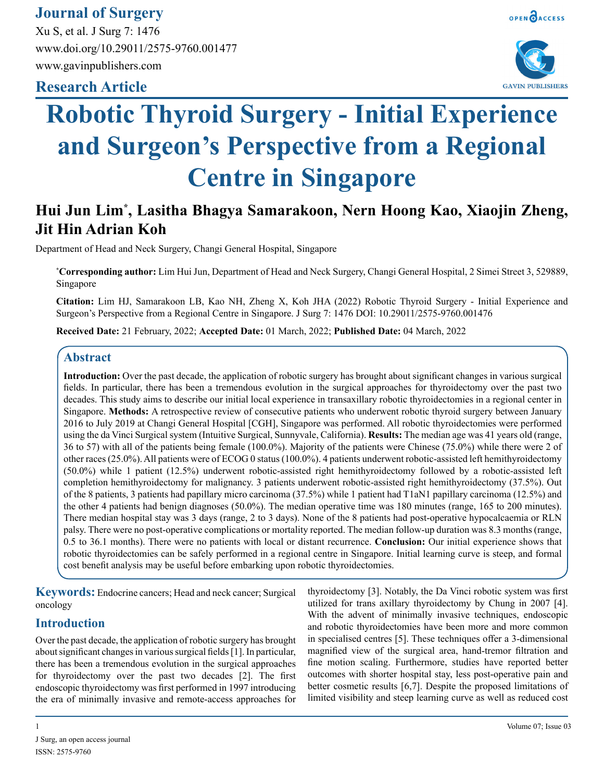# **Journal of Surgery**

Xu S, et al. J Surg 7: 1476 www.doi.org/10.29011/2575-9760.001477 www.gavinpublishers.com

# **Research Article**





# **Robotic Thyroid Surgery - Initial Experience and Surgeon's Perspective from a Regional Centre in Singapore**

# **Hui Jun Lim\* , Lasitha Bhagya Samarakoon, Nern Hoong Kao, Xiaojin Zheng, Jit Hin Adrian Koh**

Department of Head and Neck Surgery, Changi General Hospital, Singapore

**\* Corresponding author:** Lim Hui Jun, Department of Head and Neck Surgery, Changi General Hospital, 2 Simei Street 3, 529889, Singapore

**Citation:** Lim HJ, Samarakoon LB, Kao NH, Zheng X, Koh JHA (2022) Robotic Thyroid Surgery - Initial Experience and Surgeon's Perspective from a Regional Centre in Singapore. J Surg 7: 1476 DOI: 10.29011/2575-9760.001476

**Received Date:** 21 February, 2022; **Accepted Date:** 01 March, 2022; **Published Date:** 04 March, 2022

## **Abstract**

**Introduction:** Over the past decade, the application of robotic surgery has brought about significant changes in various surgical fields. In particular, there has been a tremendous evolution in the surgical approaches for thyroidectomy over the past two decades. This study aims to describe our initial local experience in transaxillary robotic thyroidectomies in a regional center in Singapore. **Methods:** A retrospective review of consecutive patients who underwent robotic thyroid surgery between January 2016 to July 2019 at Changi General Hospital [CGH], Singapore was performed. All robotic thyroidectomies were performed using the da Vinci Surgical system (Intuitive Surgical, Sunnyvale, California). **Results:** The median age was 41 years old (range, 36 to 57) with all of the patients being female (100.0%). Majority of the patients were Chinese (75.0%) while there were 2 of other races (25.0%). All patients were of ECOG 0 status (100.0%). 4 patients underwent robotic-assisted left hemithyroidectomy (50.0%) while 1 patient (12.5%) underwent robotic-assisted right hemithyroidectomy followed by a robotic-assisted left completion hemithyroidectomy for malignancy. 3 patients underwent robotic-assisted right hemithyroidectomy (37.5%). Out of the 8 patients, 3 patients had papillary micro carcinoma (37.5%) while 1 patient had T1aN1 papillary carcinoma (12.5%) and the other 4 patients had benign diagnoses (50.0%). The median operative time was 180 minutes (range, 165 to 200 minutes). There median hospital stay was 3 days (range, 2 to 3 days). None of the 8 patients had post-operative hypocalcaemia or RLN palsy. There were no post-operative complications or mortality reported. The median follow-up duration was 8.3 months (range, 0.5 to 36.1 months). There were no patients with local or distant recurrence. **Conclusion:** Our initial experience shows that robotic thyroidectomies can be safely performed in a regional centre in Singapore. Initial learning curve is steep, and formal cost benefit analysis may be useful before embarking upon robotic thyroidectomies.

**Keywords:** Endocrine cancers; Head and neck cancer; Surgical oncology

## **Introduction**

Over the past decade, the application of robotic surgery has brought about significant changes in various surgical fields [1]. In particular, there has been a tremendous evolution in the surgical approaches for thyroidectomy over the past two decades [2]. The first endoscopic thyroidectomy was first performed in 1997 introducing the era of minimally invasive and remote-access approaches for thyroidectomy [3]. Notably, the Da Vinci robotic system was first utilized for trans axillary thyroidectomy by Chung in 2007 [4]. With the advent of minimally invasive techniques, endoscopic and robotic thyroidectomies have been more and more common in specialised centres [5]. These techniques offer a 3-dimensional magnified view of the surgical area, hand-tremor filtration and fine motion scaling. Furthermore, studies have reported better outcomes with shorter hospital stay, less post-operative pain and better cosmetic results [6,7]. Despite the proposed limitations of limited visibility and steep learning curve as well as reduced cost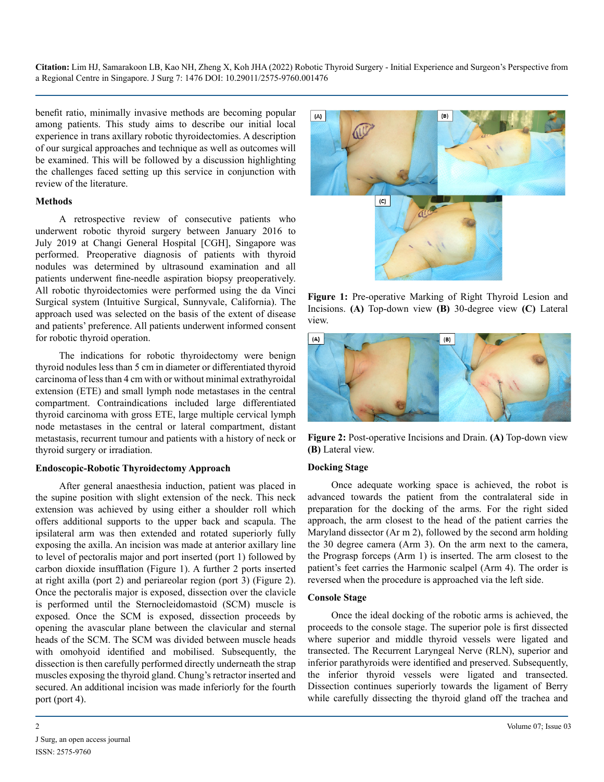benefit ratio, minimally invasive methods are becoming popular among patients. This study aims to describe our initial local experience in trans axillary robotic thyroidectomies. A description of our surgical approaches and technique as well as outcomes will be examined. This will be followed by a discussion highlighting the challenges faced setting up this service in conjunction with review of the literature.

#### **Methods**

A retrospective review of consecutive patients who underwent robotic thyroid surgery between January 2016 to July 2019 at Changi General Hospital [CGH], Singapore was performed. Preoperative diagnosis of patients with thyroid nodules was determined by ultrasound examination and all patients underwent fine-needle aspiration biopsy preoperatively. All robotic thyroidectomies were performed using the da Vinci Surgical system (Intuitive Surgical, Sunnyvale, California). The approach used was selected on the basis of the extent of disease and patients' preference. All patients underwent informed consent for robotic thyroid operation.

The indications for robotic thyroidectomy were benign thyroid nodules less than 5 cm in diameter or differentiated thyroid carcinoma of less than 4 cm with or without minimal extrathyroidal extension (ETE) and small lymph node metastases in the central compartment. Contraindications included large differentiated thyroid carcinoma with gross ETE, large multiple cervical lymph node metastases in the central or lateral compartment, distant metastasis, recurrent tumour and patients with a history of neck or thyroid surgery or irradiation.

#### **Endoscopic-Robotic Thyroidectomy Approach**

After general anaesthesia induction, patient was placed in the supine position with slight extension of the neck. This neck extension was achieved by using either a shoulder roll which offers additional supports to the upper back and scapula. The ipsilateral arm was then extended and rotated superiorly fully exposing the axilla. An incision was made at anterior axillary line to level of pectoralis major and port inserted (port 1) followed by carbon dioxide insufflation (Figure 1). A further 2 ports inserted at right axilla (port 2) and periareolar region (port 3) (Figure 2). Once the pectoralis major is exposed, dissection over the clavicle is performed until the Sternocleidomastoid (SCM) muscle is exposed. Once the SCM is exposed, dissection proceeds by opening the avascular plane between the clavicular and sternal heads of the SCM. The SCM was divided between muscle heads with omohyoid identified and mobilised. Subsequently, the dissection is then carefully performed directly underneath the strap muscles exposing the thyroid gland. Chung's retractor inserted and secured. An additional incision was made inferiorly for the fourth port (port 4).



**Figure 1:** Pre-operative Marking of Right Thyroid Lesion and Incisions. **(A)** Top-down view **(B)** 30-degree view **(C)** Lateral view.



**Figure 2:** Post-operative Incisions and Drain. **(A)** Top-down view **(B)** Lateral view.

#### **Docking Stage**

Once adequate working space is achieved, the robot is advanced towards the patient from the contralateral side in preparation for the docking of the arms. For the right sided approach, the arm closest to the head of the patient carries the Maryland dissector (Ar m 2), followed by the second arm holding the 30 degree camera (Arm 3). On the arm next to the camera, the Prograsp forceps (Arm 1) is inserted. The arm closest to the patient's feet carries the Harmonic scalpel (Arm 4). The order is reversed when the procedure is approached via the left side.

#### **Console Stage**

Once the ideal docking of the robotic arms is achieved, the proceeds to the console stage. The superior pole is first dissected where superior and middle thyroid vessels were ligated and transected. The Recurrent Laryngeal Nerve (RLN), superior and inferior parathyroids were identified and preserved. Subsequently, the inferior thyroid vessels were ligated and transected. Dissection continues superiorly towards the ligament of Berry while carefully dissecting the thyroid gland off the trachea and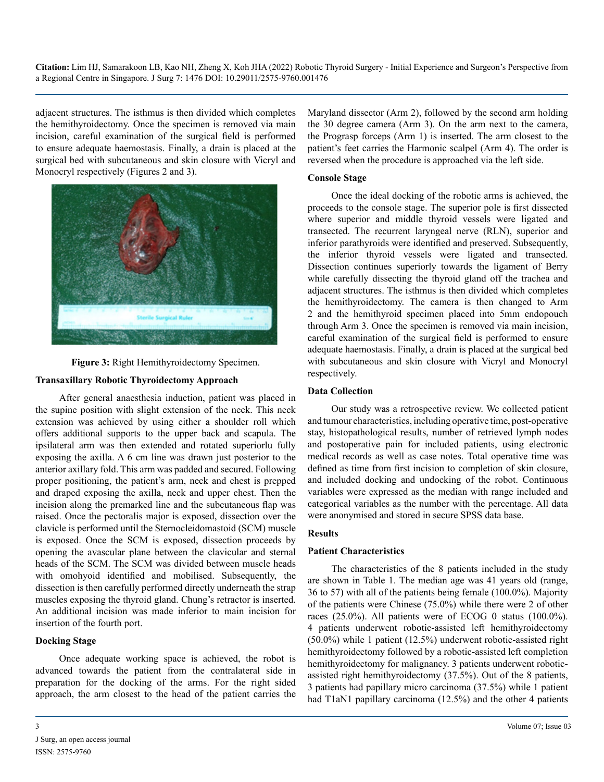adjacent structures. The isthmus is then divided which completes the hemithyroidectomy. Once the specimen is removed via main incision, careful examination of the surgical field is performed to ensure adequate haemostasis. Finally, a drain is placed at the surgical bed with subcutaneous and skin closure with Vicryl and Monocryl respectively (Figures 2 and 3).



**Figure 3:** Right Hemithyroidectomy Specimen.

#### **Transaxillary Robotic Thyroidectomy Approach**

After general anaesthesia induction, patient was placed in the supine position with slight extension of the neck. This neck extension was achieved by using either a shoulder roll which offers additional supports to the upper back and scapula. The ipsilateral arm was then extended and rotated superiorlu fully exposing the axilla. A 6 cm line was drawn just posterior to the anterior axillary fold. This arm was padded and secured. Following proper positioning, the patient's arm, neck and chest is prepped and draped exposing the axilla, neck and upper chest. Then the incision along the premarked line and the subcutaneous flap was raised. Once the pectoralis major is exposed, dissection over the clavicle is performed until the Sternocleidomastoid (SCM) muscle is exposed. Once the SCM is exposed, dissection proceeds by opening the avascular plane between the clavicular and sternal heads of the SCM. The SCM was divided between muscle heads with omohyoid identified and mobilised. Subsequently, the dissection is then carefully performed directly underneath the strap muscles exposing the thyroid gland. Chung's retractor is inserted. An additional incision was made inferior to main incision for insertion of the fourth port.

#### **Docking Stage**

Once adequate working space is achieved, the robot is advanced towards the patient from the contralateral side in preparation for the docking of the arms. For the right sided approach, the arm closest to the head of the patient carries the

Maryland dissector (Arm 2), followed by the second arm holding the 30 degree camera (Arm 3). On the arm next to the camera, the Prograsp forceps (Arm 1) is inserted. The arm closest to the patient's feet carries the Harmonic scalpel (Arm 4). The order is reversed when the procedure is approached via the left side.

#### **Console Stage**

Once the ideal docking of the robotic arms is achieved, the proceeds to the console stage. The superior pole is first dissected where superior and middle thyroid vessels were ligated and transected. The recurrent laryngeal nerve (RLN), superior and inferior parathyroids were identified and preserved. Subsequently, the inferior thyroid vessels were ligated and transected. Dissection continues superiorly towards the ligament of Berry while carefully dissecting the thyroid gland off the trachea and adjacent structures. The isthmus is then divided which completes the hemithyroidectomy. The camera is then changed to Arm 2 and the hemithyroid specimen placed into 5mm endopouch through Arm 3. Once the specimen is removed via main incision, careful examination of the surgical field is performed to ensure adequate haemostasis. Finally, a drain is placed at the surgical bed with subcutaneous and skin closure with Vicryl and Monocryl respectively.

#### **Data Collection**

Our study was a retrospective review. We collected patient and tumour characteristics, including operative time, post-operative stay, histopathological results, number of retrieved lymph nodes and postoperative pain for included patients, using electronic medical records as well as case notes. Total operative time was defined as time from first incision to completion of skin closure, and included docking and undocking of the robot. Continuous variables were expressed as the median with range included and categorical variables as the number with the percentage. All data were anonymised and stored in secure SPSS data base.

#### **Results**

#### **Patient Characteristics**

The characteristics of the 8 patients included in the study are shown in Table 1. The median age was 41 years old (range, 36 to 57) with all of the patients being female (100.0%). Majority of the patients were Chinese (75.0%) while there were 2 of other races (25.0%). All patients were of ECOG 0 status (100.0%). 4 patients underwent robotic-assisted left hemithyroidectomy (50.0%) while 1 patient (12.5%) underwent robotic-assisted right hemithyroidectomy followed by a robotic-assisted left completion hemithyroidectomy for malignancy. 3 patients underwent roboticassisted right hemithyroidectomy (37.5%). Out of the 8 patients, 3 patients had papillary micro carcinoma (37.5%) while 1 patient had T1aN1 papillary carcinoma (12.5%) and the other 4 patients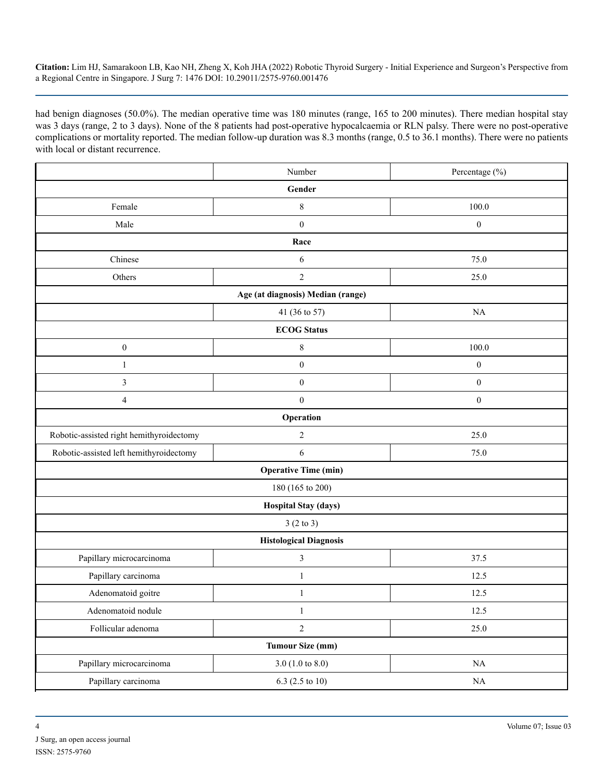had benign diagnoses (50.0%). The median operative time was 180 minutes (range, 165 to 200 minutes). There median hospital stay was 3 days (range, 2 to 3 days). None of the 8 patients had post-operative hypocalcaemia or RLN palsy. There were no post-operative complications or mortality reported. The median follow-up duration was 8.3 months (range, 0.5 to 36.1 months). There were no patients with local or distant recurrence.

|                                          | Number           | Percentage (%)   |  |
|------------------------------------------|------------------|------------------|--|
| Gender                                   |                  |                  |  |
| Female                                   | $\,$ 8 $\,$      | 100.0            |  |
| Male                                     | $\boldsymbol{0}$ | $\boldsymbol{0}$ |  |
| Race                                     |                  |                  |  |
| Chinese                                  | 6                | 75.0             |  |
| Others                                   | $\overline{2}$   | 25.0             |  |
| Age (at diagnosis) Median (range)        |                  |                  |  |
|                                          | 41 (36 to 57)    | NA               |  |
| <b>ECOG</b> Status                       |                  |                  |  |
| $\boldsymbol{0}$                         | $\,$ 8 $\,$      | 100.0            |  |
| $\mathbf{1}$                             | $\boldsymbol{0}$ | $\boldsymbol{0}$ |  |
| $\mathfrak{Z}$                           | $\boldsymbol{0}$ | $\boldsymbol{0}$ |  |
| $\overline{4}$                           | $\boldsymbol{0}$ | $\boldsymbol{0}$ |  |
| Operation                                |                  |                  |  |
| Robotic-assisted right hemithyroidectomy | $\sqrt{2}$       | 25.0             |  |
| Robotic-assisted left hemithyroidectomy  | 6                | 75.0             |  |
| <b>Operative Time (min)</b>              |                  |                  |  |
| 180 (165 to 200)                         |                  |                  |  |
| <b>Hospital Stay (days)</b>              |                  |                  |  |
| 3(2 to 3)                                |                  |                  |  |
| <b>Histological Diagnosis</b>            |                  |                  |  |
| Papillary microcarcinoma                 | $\mathfrak{Z}$   | 37.5             |  |
| Papillary carcinoma                      | $\mathbf{1}$     | 12.5             |  |
| Adenomatoid goitre                       | 1                | 12.5             |  |
| Adenomatoid nodule                       | $\,1$            | 12.5             |  |
| Follicular adenoma                       | $\overline{c}$   | 25.0             |  |
| <b>Tumour Size (mm)</b>                  |                  |                  |  |
| Papillary microcarcinoma                 | 3.0 (1.0 to 8.0) | $\rm NA$         |  |
| Papillary carcinoma                      | 6.3 (2.5 to 10)  | $\rm NA$         |  |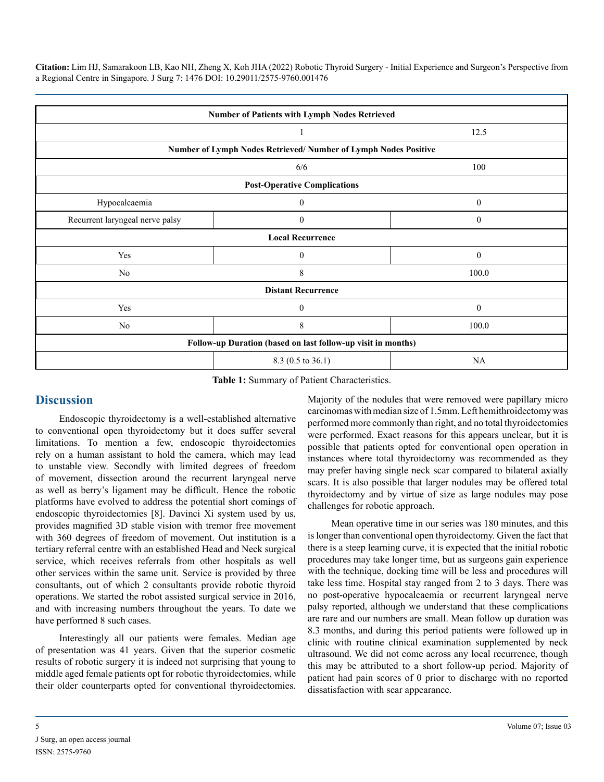| Number of Patients with Lymph Nodes Retrieved                   |                  |  |
|-----------------------------------------------------------------|------------------|--|
|                                                                 | 12.5             |  |
| Number of Lymph Nodes Retrieved/ Number of Lymph Nodes Positive |                  |  |
| 6/6                                                             | 100              |  |
| <b>Post-Operative Complications</b>                             |                  |  |
| $\mathbf{0}$                                                    | $\mathbf{0}$     |  |
| $\mathbf{0}$                                                    | $\boldsymbol{0}$ |  |
| <b>Local Recurrence</b>                                         |                  |  |
| $\theta$                                                        | $\mathbf{0}$     |  |
| 8                                                               | 100.0            |  |
| <b>Distant Recurrence</b>                                       |                  |  |
| $\Omega$                                                        | $\mathbf{0}$     |  |
| 8                                                               | 100.0            |  |
| Follow-up Duration (based on last follow-up visit in months)    |                  |  |
| 8.3 (0.5 to 36.1)                                               | NA               |  |
|                                                                 |                  |  |

**Table 1:** Summary of Patient Characteristics.

## **Discussion**

Endoscopic thyroidectomy is a well-established alternative to conventional open thyroidectomy but it does suffer several limitations. To mention a few, endoscopic thyroidectomies rely on a human assistant to hold the camera, which may lead to unstable view. Secondly with limited degrees of freedom of movement, dissection around the recurrent laryngeal nerve as well as berry's ligament may be difficult. Hence the robotic platforms have evolved to address the potential short comings of endoscopic thyroidectomies [8]. Davinci Xi system used by us, provides magnified 3D stable vision with tremor free movement with 360 degrees of freedom of movement. Out institution is a tertiary referral centre with an established Head and Neck surgical service, which receives referrals from other hospitals as well other services within the same unit. Service is provided by three consultants, out of which 2 consultants provide robotic thyroid operations. We started the robot assisted surgical service in 2016, and with increasing numbers throughout the years. To date we have performed 8 such cases.

Interestingly all our patients were females. Median age of presentation was 41 years. Given that the superior cosmetic results of robotic surgery it is indeed not surprising that young to middle aged female patients opt for robotic thyroidectomies, while their older counterparts opted for conventional thyroidectomies. Majority of the nodules that were removed were papillary micro carcinomas with median size of 1.5mm. Left hemithroidectomy was performed more commonly than right, and no total thyroidectomies were performed. Exact reasons for this appears unclear, but it is possible that patients opted for conventional open operation in instances where total thyroidectomy was recommended as they may prefer having single neck scar compared to bilateral axially scars. It is also possible that larger nodules may be offered total thyroidectomy and by virtue of size as large nodules may pose challenges for robotic approach.

Mean operative time in our series was 180 minutes, and this is longer than conventional open thyroidectomy. Given the fact that there is a steep learning curve, it is expected that the initial robotic procedures may take longer time, but as surgeons gain experience with the technique, docking time will be less and procedures will take less time. Hospital stay ranged from 2 to 3 days. There was no post-operative hypocalcaemia or recurrent laryngeal nerve palsy reported, although we understand that these complications are rare and our numbers are small. Mean follow up duration was 8.3 months, and during this period patients were followed up in clinic with routine clinical examination supplemented by neck ultrasound. We did not come across any local recurrence, though this may be attributed to a short follow-up period. Majority of patient had pain scores of 0 prior to discharge with no reported dissatisfaction with scar appearance.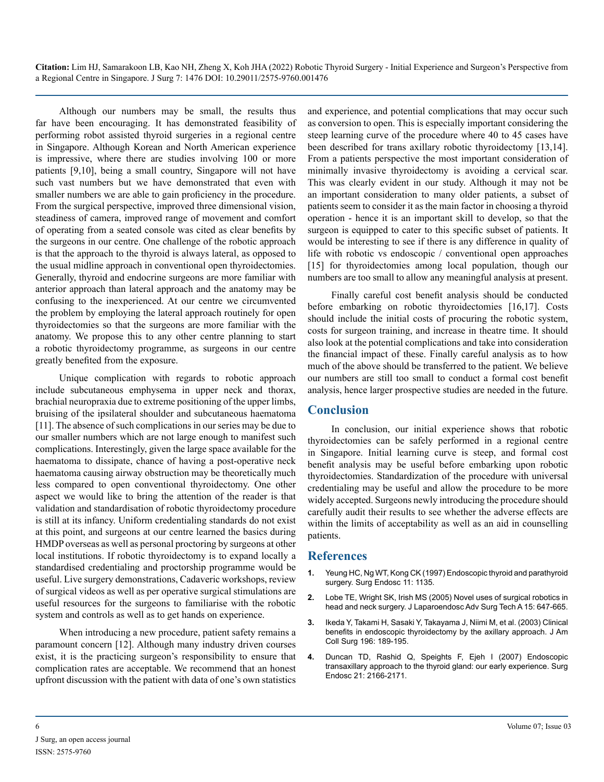Although our numbers may be small, the results thus far have been encouraging. It has demonstrated feasibility of performing robot assisted thyroid surgeries in a regional centre in Singapore. Although Korean and North American experience is impressive, where there are studies involving 100 or more patients [9,10], being a small country, Singapore will not have such vast numbers but we have demonstrated that even with smaller numbers we are able to gain proficiency in the procedure. From the surgical perspective, improved three dimensional vision, steadiness of camera, improved range of movement and comfort of operating from a seated console was cited as clear benefits by the surgeons in our centre. One challenge of the robotic approach is that the approach to the thyroid is always lateral, as opposed to the usual midline approach in conventional open thyroidectomies. Generally, thyroid and endocrine surgeons are more familiar with anterior approach than lateral approach and the anatomy may be confusing to the inexperienced. At our centre we circumvented the problem by employing the lateral approach routinely for open thyroidectomies so that the surgeons are more familiar with the anatomy. We propose this to any other centre planning to start a robotic thyroidectomy programme, as surgeons in our centre greatly benefited from the exposure.

Unique complication with regards to robotic approach include subcutaneous emphysema in upper neck and thorax, brachial neuropraxia due to extreme positioning of the upper limbs, bruising of the ipsilateral shoulder and subcutaneous haematoma [11]. The absence of such complications in our series may be due to our smaller numbers which are not large enough to manifest such complications. Interestingly, given the large space available for the haematoma to dissipate, chance of having a post-operative neck haematoma causing airway obstruction may be theoretically much less compared to open conventional thyroidectomy. One other aspect we would like to bring the attention of the reader is that validation and standardisation of robotic thyroidectomy procedure is still at its infancy. Uniform credentialing standards do not exist at this point, and surgeons at our centre learned the basics during HMDP overseas as well as personal proctoring by surgeons at other local institutions. If robotic thyroidectomy is to expand locally a standardised credentialing and proctorship programme would be useful. Live surgery demonstrations, Cadaveric workshops, review of surgical videos as well as per operative surgical stimulations are useful resources for the surgeons to familiarise with the robotic system and controls as well as to get hands on experience.

When introducing a new procedure, patient safety remains a paramount concern [12]. Although many industry driven courses exist, it is the practicing surgeon's responsibility to ensure that complication rates are acceptable. We recommend that an honest upfront discussion with the patient with data of one's own statistics

and experience, and potential complications that may occur such as conversion to open. This is especially important considering the steep learning curve of the procedure where 40 to 45 cases have been described for trans axillary robotic thyroidectomy [13,14]. From a patients perspective the most important consideration of minimally invasive thyroidectomy is avoiding a cervical scar. This was clearly evident in our study. Although it may not be an important consideration to many older patients, a subset of patients seem to consider it as the main factor in choosing a thyroid operation - hence it is an important skill to develop, so that the surgeon is equipped to cater to this specific subset of patients. It would be interesting to see if there is any difference in quality of life with robotic vs endoscopic / conventional open approaches [15] for thyroidectomies among local population, though our numbers are too small to allow any meaningful analysis at present.

Finally careful cost benefit analysis should be conducted before embarking on robotic thyroidectomies [16,17]. Costs should include the initial costs of procuring the robotic system, costs for surgeon training, and increase in theatre time. It should also look at the potential complications and take into consideration the financial impact of these. Finally careful analysis as to how much of the above should be transferred to the patient. We believe our numbers are still too small to conduct a formal cost benefit analysis, hence larger prospective studies are needed in the future.

## **Conclusion**

In conclusion, our initial experience shows that robotic thyroidectomies can be safely performed in a regional centre in Singapore. Initial learning curve is steep, and formal cost benefit analysis may be useful before embarking upon robotic thyroidectomies. Standardization of the procedure with universal credentialing may be useful and allow the procedure to be more widely accepted. Surgeons newly introducing the procedure should carefully audit their results to see whether the adverse effects are within the limits of acceptability as well as an aid in counselling patients.

#### **References**

- **1.** [Yeung HC, Ng WT, Kong CK \(1997\) Endoscopic thyroid and parathyroid](https://pubmed.ncbi.nlm.nih.gov/11961613/)  [surgery. Surg Endosc 11: 1135.](https://pubmed.ncbi.nlm.nih.gov/11961613/)
- **2.** [Lobe TE, Wright SK, Irish MS \(2005\) Novel uses of surgical robotics in](https://pubmed.ncbi.nlm.nih.gov/16366877/)  [head and neck surgery. J Laparoendosc Adv Surg Tech A 15: 647-665.](https://pubmed.ncbi.nlm.nih.gov/16366877/)
- **3.** [Ikeda Y, Takami H, Sasaki Y, Takayama J, Niimi M, et al. \(2003\) Clinical](https://pubmed.ncbi.nlm.nih.gov/12595044/)  [benefits in endoscopic thyroidectomy by the axillary approach. J Am](https://pubmed.ncbi.nlm.nih.gov/12595044/)  [Coll Surg 196: 189-195.](https://pubmed.ncbi.nlm.nih.gov/12595044/)
- **4.** [Duncan TD, Rashid Q, Speights F, Ejeh I \(2007\) Endoscopic](https://pubmed.ncbi.nlm.nih.gov/17479328/)  [transaxillary approach to the thyroid gland: our early experience. Surg](https://pubmed.ncbi.nlm.nih.gov/17479328/)  [Endosc 21: 2166-2171.](https://pubmed.ncbi.nlm.nih.gov/17479328/)